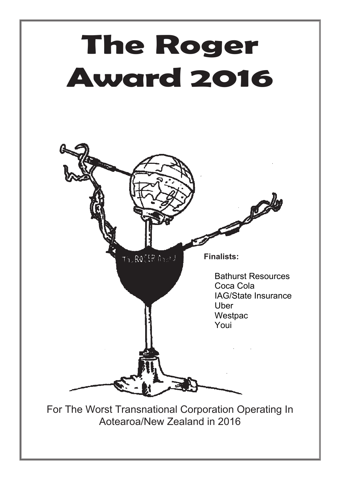

Aotearoa/New Zealand in 2016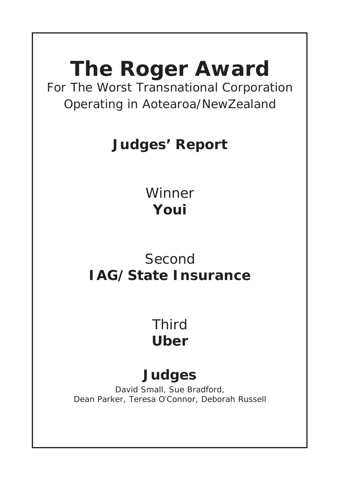# **The Roger Award**

For The Worst Transnational Corporation Operating in Aotearoa/NewZealand

# **Judges' Report**

Winner **Youi**

# Second **IAG/State Insurance**

# Third **Uber**

# **Judges**

David Small, Sue Bradford, Dean Parker, Teresa O'Connor, Deborah Russell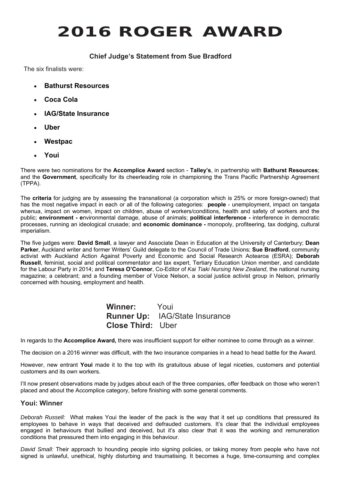# **2016 ROGER AWARD**

# **Chief Judge's Statement from Sue Bradford**

The six finalists were:

- **Bathurst Resources**
- **Coca Cola**
- **IAG/State Insurance**
- **Uber**
- **Westpac**
- **Youi**

There were two nominations for the **Accomplice Award** section - **Talley's**, in partnership with **Bathurst Resources**; and the **Government**, specifically for its cheerleading role in championing the Trans Pacific Partnership Agreement (TPPA).

The **criteria** for judging are by assessing the transnational (a corporation which is 25% or more foreign-owned) that has the most negative impact in each or all of the following categories: **people** - unemployment, impact on tangata whenua, impact on women, impact on children, abuse of workers/conditions, health and safety of workers and the public; **environment - e**nvironmental damage, abuse of animals; **political interference -** interference in democratic processes, running an ideological crusade; and **economic dominance -** monopoly, profiteering, tax dodging, cultural imperialism.

The five judges were: **David Small**, a lawyer and Associate Dean in Education at the University of Canterbury; **Dean Parker**, Auckland writer and former Writers' Guild delegate to the Council of Trade Unions; **Sue Bradford**, community activist with Auckland Action Against Poverty and Economic and Social Research Aotearoa (ESRA); **Deborah Russell**, feminist, social and political commentator and tax expert, Tertiary Education Union member, and candidate for the Labour Party in 2014; and **Teresa O'Connor**, Co-Editor of *Kai Tiaki Nursing New Zealand*, the national nursing magazine; a celebrant; and a founding member of Voice Nelson, a social justice activist group in Nelson, primarily concerned with housing, employment and health.

# **Winner:** Youi **Runner Up:** IAG/State Insurance **Close Third:** Uber

In regards to the **Accomplice Award,** there was insufficient support for either nominee to come through as a winner.

The decision on a 2016 winner was difficult, with the two insurance companies in a head to head battle for the Award.

However, new entrant **Youi** made it to the top with its gratuitous abuse of legal niceties, customers and potential customers and its own workers.

I'll now present observations made by judges about each of the three companies, offer feedback on those who weren't placed and about the Accomplice category, before finishing with some general comments.

## **Youi: Winner**

*Deborah Russell:* What makes Youi the leader of the pack is the way that it set up conditions that pressured its employees to behave in ways that deceived and defrauded customers. It's clear that the individual employees engaged in behaviours that bullied and deceived, but it's also clear that it was the working and remuneration conditions that pressured them into engaging in this behaviour.

*David Small:* Their approach to hounding people into signing policies, or taking money from people who have not signed is unlawful, unethical, highly disturbing and traumatising. It becomes a huge, time-consuming and complex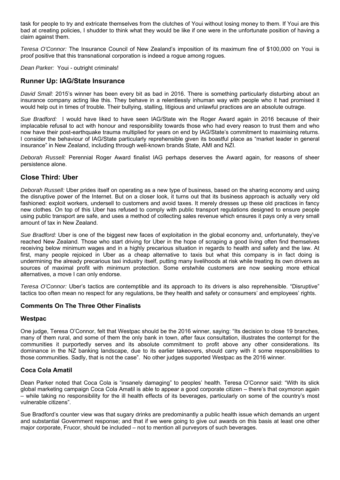task for people to try and extricate themselves from the clutches of Youi without losing money to them. If Youi are this bad at creating policies, I shudder to think what they would be like if one were in the unfortunate position of having a claim against them.

*Teresa O'Connor:* The Insurance Council of New Zealand's imposition of its maximum fine of \$100,000 on Youi is proof positive that this transnational corporation is indeed a rogue among rogues.

*Dean Parker:* Youi - outright criminals!

# **Runner Up: IAG/State Insurance**

*David Small:* 2015's winner has been every bit as bad in 2016. There is something particularly disturbing about an insurance company acting like this. They behave in a relentlessly inhuman way with people who it had promised it would help out in times of trouble. Their bullying, stalling, litigious and unlawful practices are an absolute outrage.

*Sue Bradford:* I would have liked to have seen IAG/State win the Roger Award again in 2016 because of their implacable refusal to act with honour and responsibility towards those who had every reason to trust them and who now have their post-earthquake trauma multiplied for years on end by IAG/State's commitment to maximising returns. I consider the behaviour of IAG/State particularly reprehensible given its boastful place as "market leader in general insurance" in New Zealand, including through well-known brands State, AMI and NZI.

*Deborah Russell:* Perennial Roger Award finalist IAG perhaps deserves the Award again, for reasons of sheer persistence alone.

## **Close Third: Uber**

*Deborah Russell:* Uber prides itself on operating as a new type of business, based on the sharing economy and using the disruptive power of the Internet. But on a closer look, it turns out that its business approach is actually very old fashioned: exploit workers, undersell to customers and avoid taxes. It merely dresses up these old practices in fancy new clothes. On top of this Uber has refused to comply with public transport regulations designed to ensure people using public transport are safe, and uses a method of collecting sales revenue which ensures it pays only a very small amount of tax in New Zealand.

*Sue Bradford:* Uber is one of the biggest new faces of exploitation in the global economy and, unfortunately, they've reached New Zealand. Those who start driving for Uber in the hope of scraping a good living often find themselves receiving below minimum wages and in a highly precarious situation in regards to health and safety and the law. At first, many people rejoiced in Uber as a cheap alternative to taxis but what this company is in fact doing is undermining the already precarious taxi industry itself, putting many livelihoods at risk while treating its own drivers as sources of maximal profit with minimum protection. Some erstwhile customers are now seeking more ethical alternatives, a move I can only endorse.

*Teresa O'Connor:* Uber's tactics are contemptible and its approach to its drivers is also reprehensible. "Disruptive" tactics too often mean no respect for any regulations, be they health and safety or consumers' and employees' rights.

#### **Comments On The Three Other Finalists**

#### **Westpac**

One judge, Teresa O'Connor, felt that Westpac should be the 2016 winner, saying: "Its decision to close 19 branches, many of them rural, and some of them the only bank in town, after faux consultation, illustrates the contempt for the communities it purportedly serves and its absolute commitment to profit above any other considerations. Its dominance in the NZ banking landscape, due to its earlier takeovers, should carry with it some responsibilities to those communities. Sadly, that is not the case". No other judges supported Westpac as the 2016 winner.

## **Coca Cola Amatil**

Dean Parker noted that Coca Cola is "insanely damaging" to peoples' health. Teresa O'Connor said: "With its slick global marketing campaign Coca Cola Amatil is able to appear a good corporate citizen – there's that oxymoron again – while taking no responsibility for the ill health effects of its beverages, particularly on some of the country's most vulnerable citizens".

Sue Bradford's counter view was that sugary drinks are predominantly a public health issue which demands an urgent and substantial Government response; and that if we were going to give out awards on this basis at least one other major corporate, Frucor, should be included – not to mention all purveyors of such beverages.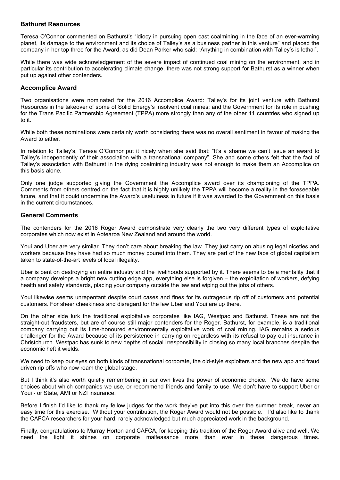#### **Bathurst Resources**

Teresa O'Connor commented on Bathurst's "idiocy in pursuing open cast coalmining in the face of an ever-warming planet, its damage to the environment and its choice of Talley's as a business partner in this venture" and placed the company in her top three for the Award, as did Dean Parker who said: "Anything in combination with Talley's is lethal".

While there was wide acknowledgement of the severe impact of continued coal mining on the environment, and in particular its contribution to accelerating climate change, there was not strong support for Bathurst as a winner when put up against other contenders.

#### **Accomplice Award**

Two organisations were nominated for the 2016 Accomplice Award: Talley's for its joint venture with Bathurst Resources in the takeover of some of Solid Energy's insolvent coal mines; and the Government for its role in pushing for the Trans Pacific Partnership Agreement (TPPA) more strongly than any of the other 11 countries who signed up to it.

While both these nominations were certainly worth considering there was no overall sentiment in favour of making the Award to either.

In relation to Talley's, Teresa O'Connor put it nicely when she said that: "It's a shame we can't issue an award to Talley's independently of their association with a transnational company". She and some others felt that the fact of Talley's association with Bathurst in the dying coalmining industry was not enough to make them an Accomplice on this basis alone.

Only one judge supported giving the Government the Accomplice award over its championing of the TPPA. Comments from others centred on the fact that it is highly unlikely the TPPA will become a reality in the foreseeable future, and that it could undermine the Award's usefulness in future if it was awarded to the Government on this basis in the current circumstances.

#### **General Comments**

The contenders for the 2016 Roger Award demonstrate very clearly the two very different types of exploitative corporates which now exist in Aotearoa New Zealand and around the world.

Youi and Uber are very similar. They don't care about breaking the law. They just carry on abusing legal niceties and workers because they have had so much money poured into them. They are part of the new face of global capitalism taken to state-of-the-art levels of local illegality.

Uber is bent on destroying an entire industry and the livelihoods supported by it. There seems to be a mentality that if a company develops a bright new cutting edge app, everything else is forgiven – the exploitation of workers, defying health and safety standards, placing your company outside the law and wiping out the jobs of others.

Youi likewise seems unrepentant despite court cases and fines for its outrageous rip off of customers and potential customers. For sheer cheekiness and disregard for the law Uber and Youi are up there.

On the other side lurk the traditional exploitative corporates like IAG, Westpac and Bathurst. These are not the straight-out fraudsters, but are of course still major contenders for the Roger. Bathurst, for example, is a traditional company carrying out its time-honoured environmentally exploitative work of coal mining. IAG remains a serious challenger for the Award because of its persistence in carrying on regardless with its refusal to pay out insurance in Christchurch. Westpac has sunk to new depths of social irresponsibility in closing so many local branches despite the economic heft it wields.

We need to keep our eyes on both kinds of transnational corporate, the old-style exploiters and the new app and fraud driven rip offs who now roam the global stage.

But I think it's also worth quietly remembering in our own lives the power of economic choice. We do have some choices about which companies we use, or recommend friends and family to use. We don't have to support Uber or Youi - or State, AMI or NZI insurance.

Before I finish I'd like to thank my fellow judges for the work they've put into this over the summer break, never an easy time for this exercise. Without your contribution, the Roger Award would not be possible. I'd also like to thank the CAFCA researchers for your hard, rarely acknowledged but much appreciated work in the background.

Finally, congratulations to Murray Horton and CAFCA, for keeping this tradition of the Roger Award alive and well. We need the light it shines on corporate malfeasance more than ever in these dangerous times.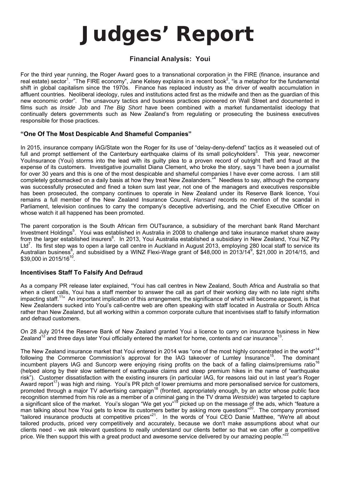# **Judges' Report**

# **Financial Analysis: Youi**

For the third year running, the Roger Award goes to a transnational corporation in the FIRE (finance, insurance and real estate) sector<sup>1</sup>. "The FIRE economy", Jane Kelsey explains in a recent book<sup>2</sup>, "is a metaphor for the fundamental shift in global capitalism since the 1970s. Finance has replaced industry as the driver of wealth accumulation in affluent countries. Neoliberal ideology, rules and institutions acted first as the midwife and then as the guardian of this new economic order". The unsavoury tactics and business practices pioneered on Wall Street and documented in films such as *Inside Job* and *The Big Short* have been combined with a market fundamentalist ideology that continually deters governments such as New Zealand's from regulating or prosecuting the business executives responsible for those practices.

## **"One Of The Most Despicable And Shameful Companies"**

In 2015, insurance company IAG/State won the Roger for its use of "delay-deny-defend" tactics as it weaseled out of full and prompt settlement of the Canterbury earthquake claims of its small policyholders<sup>3</sup>. This year, newcomer YouInsurance (Youi) storms into the lead with its guilty plea to a proven record of outright theft and fraud at the expense of its customers. Investigative journalist Diana Clement, who broke the story, says "I have been a journalist for over 30 years and this is one of the most despicable and shameful companies I have ever come across. I am still completely gobsmacked on a daily basis at how they treat New Zealanders.<sup>"4</sup> Needless to say, although the company was successfully prosecuted and fined a token sum last year, not one of the managers and executives responsible has been prosecuted, the company continues to operate in New Zealand under its Reserve Bank licence, Youi remains a full member of the New Zealand Insurance Council, *Hansard* records no mention of the scandal in Parliament, television continues to carry the company's deceptive advertising, and the Chief Executive Officer on whose watch it all happened has been promoted.

The parent corporation is the South African firm OUTsurance, a subsidiary of the merchant bank Rand Merchant Investment Holdings<sup>5</sup>. Youi was established in Australia in 2008 to challenge and take insurance market share away from the larger established insurers<sup>6</sup>. In 2013, Youi Australia established a subsidiary in New Zealand, Youi NZ Pty Ltd<sup>7</sup>. Its first step was to open a large call centre in Auckland in August 2013, employing 280 local staff to service its . Its first step was to open a large call centre in Auckland in August 2013, employing 280 local staff to service its Australian business<sup>8</sup>, and subsidised by a WINZ Flexi-Wage grant of \$48,000 in 2013/14<sup>9</sup>, \$21,000 in 2014/15, and  $$39,000$  in 2015/16<sup>10</sup>.

## **Incentivises Staff To Falsify And Defraud**

As a company PR release later explained, "Youi has call centres in New Zealand, South Africa and Australia so that when a client calls, Youi has a staff member to answer the call as part of their working day with no late night shifts impacting staff.<sup>11</sup>" An important implication of this arrangement, the significance of which will become apparent, is that New Zealanders sucked into Youi's call-centre web are often speaking with staff located in Australia or South Africa rather than New Zealand, but all working within a common corporate culture that incentivises staff to falsify information and defraud customers.

On 28 July 2014 the Reserve Bank of New Zealand granted Youi a licence to carry on insurance business in New Zealand<sup>12</sup> and three days later Youi officially entered the market for home, contents and car insurance<sup>13</sup>

The New Zealand insurance market that Youi entered in 2014 was "one of the most highly concentrated in the world"<sup>14</sup> following the Commerce Commission's approval for the IAG takeover of Lumley Insurance<sup>15</sup>. The dominant incumbent players IAG and Suncorp were enjoying rising profits on the back of a falling claims/premiums ratio<sup>16</sup> (helped along by their slow settlement of earthquake claims and steep premium hikes in the name of "earthquake risk"). Customer dissatisfaction with the existing insurers (in particular IAG, for reasons laid out in last year's Roger Award report<sup>17</sup>) was high and rising. Youi's PR pitch of lower premiums and more personalised service for customers, promoted through a major TV advertising campaign<sup>18</sup> (fronted, appropriately enough, by an actor whose public face recognition stemmed from his role as a member of a criminal gang in the TV drama *Westside*) was targeted to capture a significant slice of the market. Youi's slogan "We get you"<sup>19</sup> picked up on the message of the ads, which "feature a man talking about how Youi gets to know its customers better by asking more questions"<sup>20</sup>. The company promised "tailored insurance products at competitive prices"<sup>21</sup>. In the words of Youi CEO Danie Matthee, "We're all about tailored products, priced very competitively and accurately, because we don't make assumptions about what our clients need - we ask relevant questions to really understand our clients better so that we can offer a competitive price. We then support this with a great product and awesome service delivered by our amazing people."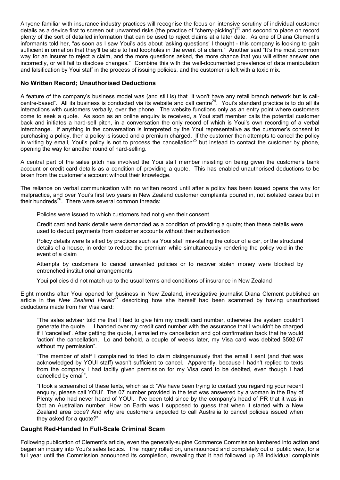Anyone familiar with insurance industry practices will recognise the focus on intensive scrutiny of individual customer details as a device first to screen out unwanted risks (the practice of "cherry-picking")<sup>23</sup> and second to place on record plenty of the sort of detailed information that can be used to reject claims at a later date. As one of Diana Clement's informants told her, "as soon as I saw Youi's ads about 'asking questions' I thought - this company is looking to gain sufficient information that they'll be able to find loopholes in the event of a claim." Another said "It's the most common way for an insurer to reject a claim, and the more questions asked, the more chance that you will either answer one incorrectly, or will fail to disclose changes." Combine this with the well-documented prevalence of data manipulation and falsification by Youi staff in the process of issuing policies, and the customer is left with a toxic mix.

#### **No Written Record; Unauthorised Deductions**

A feature of the company's business model was (and still is) that "it won't have any retail branch network but is callcentre-based". All its business is conducted via its website and call centre<sup>24</sup>. Youi's standard practice is to do all its interactions with customers verbally, over the phone. The website functions only as an entry point where customers come to seek a quote. As soon as an online enquiry is received, a Youi staff member calls the potential customer back and initiates a hard-sell pitch, in a conversation the only record of which is Youi's own recording of a verbal interchange. If anything in the conversation is interpreted by the Youi representative as the customer's consent to purchasing a policy, then a policy is issued and a premium charged. If the customer then attempts to cancel the policy in writing by email, Youi's policy is not to process the cancellation<sup>25</sup> but instead to contact the customer by phone, opening the way for another round of hard-selling.

A central part of the sales pitch has involved the Youi staff member insisting on being given the customer's bank account or credit card details as a condition of providing a quote. This has enabled unauthorised deductions to be taken from the customer's account without their knowledge.

The reliance on verbal communication with no written record until after a policy has been issued opens the way for malpractice, and over Youi's first two years in New Zealand customer complaints poured in, not isolated cases but in their hundreds $^{26}$ . There were several common threads:

Policies were issued to which customers had not given their consent

Credit card and bank details were demanded as a condition of providing a quote; then these details were used to deduct payments from customer accounts without their authorisation

Policy details were falsified by practices such as Youi staff mis-stating the colour of a car, or the structural details of a house, in order to reduce the premium while simultaneously rendering the policy void in the event of a claim

Attempts by customers to cancel unwanted policies or to recover stolen money were blocked by entrenched institutional arrangements

Youi policies did not match up to the usual terms and conditions of insurance in New Zealand

Eight months after Youi opened for business in New Zealand, investigative journalist Diana Clement published an article in the *New Zealand Herald<sup>27</sup>* describing how she herself had been scammed by having unauthorised deductions made from her Visa card:

"The sales adviser told me that I had to give him my credit card number, otherwise the system couldn't generate the quote…. I handed over my credit card number with the assurance that I wouldn't be charged if I 'cancelled'. After getting the quote, I emailed my cancellation and got confirmation back that he would 'action' the cancellation. Lo and behold, a couple of weeks later, my Visa card was debited \$592.67 without my permission".

"The member of staff I complained to tried to claim disingenuously that the email I sent (and that was acknowledged by YOUI staff) wasn't sufficient to cancel. Apparently, because I hadn't replied to texts from the company I had tacitly given permission for my Visa card to be debited, even though I had cancelled by email".

"I took a screenshot of these texts, which said: 'We have been trying to contact you regarding your recent enquiry, please call YOUI'. The 07 number provided in the text was answered by a woman in the Bay of Plenty who had never heard of YOUI. I've been told since by the company's head of PR that it was in fact an Australian number. How on Earth was I supposed to guess that when it started with a New Zealand area code? And why are customers expected to call Australia to cancel policies issued when they asked for a quote?"

## **Caught Red-Handed In Full-Scale Criminal Scam**

Following publication of Clement's article, even the generally-supine Commerce Commission lumbered into action and began an inquiry into Youi's sales tactics. The inquiry rolled on, unannounced and completely out of public view, for a full year until the Commission announced its completion, revealing that it had followed up 28 individual complaints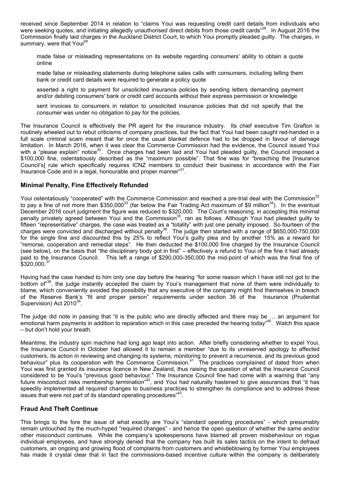received since September 2014 in relation to "claims Youi was requesting credit card details from individuals who were seeking quotes, and initiating allegedly unauthorised direct debits from those credit cards"<sup>28</sup>. In August 2016 the Commission finally laid charges in the Auckland District Court, to which Youi promptly pleaded guilty. The charges, in summary, were that Youi<sup>29</sup>

made false or misleading representations on its website regarding consumers' ability to obtain a quote online

made false or misleading statements during telephone sales calls with consumers, including telling them bank or credit card details were required to generate a policy quote

asserted a right to payment for unsolicited insurance policies by sending letters demanding payment and/or debiting consumers' bank or credit card accounts without their express permission or knowledge

sent invoices to consumers in relation to unsolicited insurance policies that did not specify that the consumer was under no obligation to pay for the policies.

The Insurance Council is effectively the PR agent for the insurance industry. Its chief executive Tim Grafton is routinely wheeled out to rebut criticisms of company practices, but the fact that Youi had been caught red-handed in a full scale criminal scam meant that for once the usual blanket defence had to be dropped in favour of damage limitation. In March 2016, when it was clear the Commerce Commission had the evidence, the Council issued Youi with a "please explain" notice<sup>30</sup>. Once charges had been laid and Youi had pleaded guilty, the Council imposed a \$100,000 fine, ostentatiously described as the "maximum possible". That fine was for "breaching the [Insurance Council's] rule which specifically requires ICNZ members to conduct their business in accordance with the Fair Insurance Code and in a legal, honourable and proper manner"31.

#### **Minimal Penalty, Fine Effectively Refunded**

Youi ostentatiously "cooperated" with the Commerce Commission and reached a pre-trial deal with the Commission<sup>32</sup> to pay a fine of not more than \$350,000<sup>33</sup> (far below the Fair Trading Act maximum of \$9 million<sup>34</sup>). In the eventual December 2016 court judgment the figure was reduced to \$320,000. The Court's reasoning, in accepting this minimal penalty privately agreed between Youi and the Commission<sup>35</sup>, ran as follows. Although Youi had pleaded guilty to fifteen "representative" charges, the case was treated as a "totality" with just one penalty imposed. So fourteen of the charges were convicted and discharged without penalty<sup>36</sup>. The judge then started with a range of \$650,000-750,000 for the single fine and discounted this by 25% to reflect Youi's guilty plea and by another 15% as a reward for "remorse, cooperation and remedial steps". He then deducted the \$100,000 fine charged by the Insurance Council (see below), on the basis that "the disciplinary body got in first" – effectively a refund to Youi of the fine it had already paid to the Insurance Council. This left a range of \$290,000-350,000 the mid-point of which was the final fine of \$320,000.<sup>37</sup>

Having had the case handed to him only one day before the hearing "for some reason which I have still not got to the bottom of<sup>38</sup>, the judge instantly accepted the claim by Youi's management that none of them were individually to blame, which conveniently avoided the possibility that any executive of the company might find themselves in breach of the Reserve Bank's "fit and proper person" requirements under section 36 of the Insurance (Prudential Supervision) Act 2010<sup>39</sup>.

The judge did note in passing that "it is the public who are directly affected and there may be … an argument for emotional harm payments in addition to reparation which in this case preceded the hearing today"<sup>40</sup>. Watch this space – but don't hold your breath.

Meantime, the industry spin machine had long ago leapt into action. After briefly considering whether to expel Youi, the Insurance Council in October had allowed it to remain a member "due to its unreserved apology to affected customers, its action in reviewing and changing its systems, monitoring to prevent a recurrence, and its previous good behaviour" plus its cooperation with the Commerce Commission.<sup>41</sup> The practices complained of dated from when Youi was first granted its insurance licence in New Zealand, thus raising the question of what the Insurance Council considered to be Youi's "previous good behaviour." The Insurance Council fine had come with a warning that "any future misconduct risks membership termination<sup>"42</sup>, and Youi had naturally hastened to give assurances that "it has speedily implemented all required changes to business practices to strengthen its compliance and to address these issues that were not part of its standard operating procedures<sup>"43</sup>.

## **Fraud And Theft Continue**

This brings to the fore the issue of what exactly are Youi's "standard operating procedures" - which presumably remain untouched by the much-hyped "required changes" - and hence the open question of whether the same and/or other misconduct continues. While the company's spokespersons have blamed all proven misbehaviour on rogue individual employees, and have strongly denied that the company has built its sales tactics on the intent to defraud customers, an ongoing and growing flood of complaints from customers and whistleblowing by former Youi employees has made it crystal clear that in fact the commissions-based incentive culture within the company is deliberately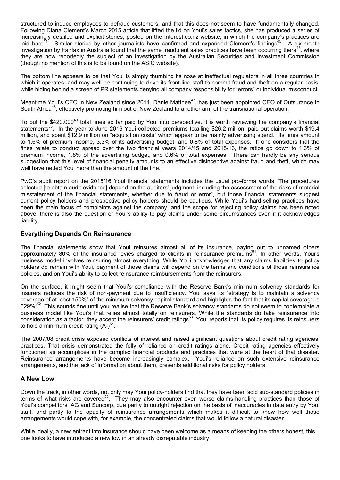structured to induce employees to defraud customers, and that this does not seem to have fundamentally changed. Following Diana Clement's March 2015 article that lifted the lid on Youi's sales tactics, she has produced a series of increasingly detailed and explicit stories, posted on the Interest.co.nz website, in which the company's practices are laid bare<sup>44</sup>. Similar stories by other journalists have confirmed and expanded Clement's findings<sup>45</sup>. A six-month investigation by Fairfax in Australia found that the same fraudulent sales practices have been occurring there<sup>46</sup>, where they are now reportedly the subject of an investigation by the Australian Securities and Investment Commission (though no mention of this is to be found on the ASIC website).

The bottom line appears to be that Youi is simply thumbing its nose at ineffectual regulators in all three countries in which it operates, and may well be continuing to drive its front-line staff to commit fraud and theft on a regular basis, while hiding behind a screen of PR statements denying all company responsibility for "errors" or individual misconduct.

Meantime Youi's CEO in New Zealand since 2014, Danie Matthee<sup>47</sup>, has just been appointed CEO of Outsurance in South Africa<sup>48</sup>, effectively promoting him out of New Zealand to another arm of the transnational operation.

To put the \$420,000<sup>49</sup> total fines so far paid by Youi into perspective, it is worth reviewing the company's financial statements<sup>50</sup>. In the year to June 2016 Youi collected premiums totalling \$26.2 million, paid out claims worth \$19.4 million, and spent \$12.9 million on "acquisition costs" which appear to be mainly advertising spend. Its fines amount to 1.6% of premium income, 3.3% of its advertising budget, and 0.8% of total expenses. If one considers that the fines relate to conduct spread over the two financial years 2014/15 and 2015/16, the ratios go down to 1.3% of premium income, 1.8% of the advertising budget, and 0.6% of total expenses. There can hardly be any serious suggestion that this level of financial penalty amounts to an effective disincentive against fraud and theft, which may well have netted Youi more than the amount of the fine.

PwC's audit report on the 2015/16 Youi financial statements includes the usual pro-forma words "The procedures selected [to obtain audit evidence] depend on the auditors' judgment, including the assessment of the risks of material misstatement of the financial statements, whether due to fraud or error", but those financial statements suggest current policy holders and prospective policy holders should be cautious. While Youi's hard-selling practices have been the main focus of complaints against the company, and the scope for rejecting policy claims has been noted above, there is also the question of Youi's ability to pay claims under some circumstances even if it acknowledges liability.

#### **Everything Depends On Reinsurance**

The financial statements show that Youi reinsures almost all of its insurance, paying out to unnamed others approximately 80% of the insurance levies charged to clients in reinsurance premiums<sup>51</sup>. In other words, Youi's business model involves reinsuring almost everything. While Youi acknowledges that any claims liabilities to policy holders do remain with Youi, payment of those claims will depend on the terms and conditions of those reinsurance policies, and on Youi's ability to collect reinsurance reimbursements from the reinsurers.

On the surface, it might seem that Youi's compliance with the Reserve Bank's minimum solvency standards for insurers reduces the risk of non-payment due to insufficiency. Youi says its "strategy is to maintain a solvency coverage of at least 150%" of the minimum solvency capital standard and highlights the fact that its capital coverage is 629%!<sup>52</sup> This sounds fine until you realise that the Reserve Bank's solvency standards do not seem to contemplate a business model like Youi's that relies almost totally on reinsurers. While the standards do take reinsurance into consideration as a factor, they accept the reinsurers' credit ratings<sup>53</sup>. Youi reports that its policy requires its reinsurers to hold a minimum credit rating  $(A-)$ <sup>54</sup>.

The 2007/08 credit crisis exposed conflicts of interest and raised significant questions about credit rating agencies' practices. That crisis demonstrated the folly of reliance on credit ratings alone. Credit rating agencies effectively functioned as accomplices in the complex financial products and practices that were at the heart of that disaster*.* Reinsurance arrangements have become increasingly complex. Youi's reliance on such extensive reinsurance arrangements, and the lack of information about them, presents additional risks for policy holders.

#### **A New Low**

Down the track, in other words, not only may Youi policy-holders find that they have been sold sub-standard policies in terms of what risks are covered<sup>55</sup>. They may also encounter even worse claims-handling practices than those of Youi's competitors IAG and Suncorp, due partly to outright rejection on the basis of inaccuracies in data entry by Youi staff, and partly to the opacity of reinsurance arrangements which makes it difficult to know how well those arrangements would cope with, for example, the concentrated claims that would follow a natural disaster.

While ideally, a new entrant into insurance should have been welcome as a means of keeping the others honest, this one looks to have introduced a new low in an already disreputable industry.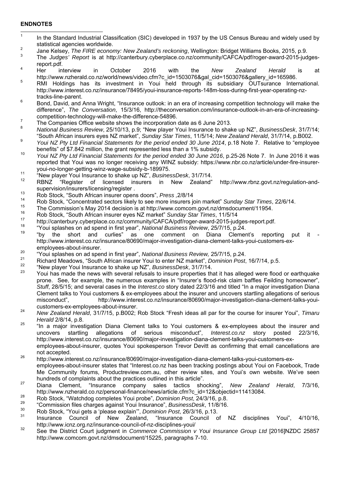#### **ENDNOTES**

- -1 In the Standard Industrial Classification (SIC) developed in 1937 by the US Census Bureau and widely used by statistical agencies worldwide.
- Jane Kelsey, *The FIRE economy: New Zealand's reckoning*, Wellington: Bridget Williams Books, 2015, p.9. 3
- The *Judges' Report* is at http://canterbury.cyberplace.co.nz/community/CAFCA/pdf/roger-award-2015-judges-
- report.pdf.<br><sup>4</sup> Her interview Her interview in October 2016 with the *New Zealand Herald* is at http://www.nzherald.co.nz/world/news/video.cfm?c\_id=1503076&gal\_cid=1503076&gallery\_id=165986. 5
- RMI Holdings has its investment in Youi held through its subsidiary OUTsurance International. http://www.interest.co.nz/insurance/78495/youi-insurance-reports-148m-loss-during-first-year-operating-nztracks-line-parent.
- Bond, David, and Anna Wright, "Insurance outlook: in an era of increasing competition technology will make the difference", *The Conversation*, 15/3/16, http://theconversation.com/insurance-outlook-in-an-era-of-increasingcompetition-technology-will-make-the-difference-54896.
- The Companies Office website shows the incorporation date as 6 June 2013.
- 8 *National Business Review*, 25/10/13, p.9; "New player Youi Insurance to shake up NZ", *BusinessDesk*, 31/7/14; "South African insurers eyes NZ market", *Sunday Star Times*, 11/5/14; *New Zealand Herald*, 31/7/14, p.B002. 9
- *Youi NZ Pty Ltd Financial Statements for the period ended 30 June 2014*, p.18 Note 7. Relative to "employee benefits" of \$7.842 million, the grant represented less than a 1% subsidy.<br><sup>10</sup> *Youi NZ Pty Ltd Financial Statements for the period ended 30 June 2016*, p.25-26 Note 7. In June 2016 it was
- reported that Youi was no longer receiving any WINZ subsidy: https://www.nbr.co.nz/article/under-fire-insurer-
- youi-no-longer-getting-winz-wage-subsidy-b-189975.<br>
"New player Youi Insurance to shake up NZ", *BusinessDesk*, 31/7/14.
- RBNZ "Register of licensed insurers in New Zealand" http://www.rbnz.govt.nz/regulation-and-
- supervision/insurers/licensing/register .<br>Rob Stock, "South African insurer opens doors", *Press* ,2/8/14
- 14 Rob Stock, "Concentrated sectors likely to see more insurers join market" *Sunday Star Times*, 22/6/14.
- <sup>15</sup> The Commission's May 2014 decision is at http://www.comcom.govt.nz/dmsdocument/11954.
- 16 Rob Stock, "South African insurer eyes NZ market" *Sunday Star Times*, 11/5/14
- 
- 
- http://canterbury.cyberplace.co.nz/community/CAFCA/pdf/roger-award-2015-judges-report.pdf.<br><sup>18</sup> "Youi splashes on ad spend in first year", National Business Review, 25/7/15, p.24.<br><sup>19</sup> "by the short and curlies" as one com http://www.interest.co.nz/insurance/80690/major-investigation-diana-clement-talks-youi-customers-ex-
- 
- employees-about-insurer.<br>
"Youi splashes on ad spend in first year", National Business Review, 25/7/15, p.24.<br>
Richard Meadows, "South African insurer Youi to enter NZ market", Dominion Post, 16/7/14, p.5.<br>
"New player You
- 
- 23 Youi has made the news with several refusals to insure properties that it has alleged were flood or earthquake prone. See, for example, the numerous examples in "Insurer's flood-risk claim baffles Feilding homeowner", *Stuff*, 28/5/15; and several cases in the *Interest.co* story dated 22/3/16 and titled "In a major investigation Diana Clement talks to Youi customers & ex-employees about the insurer and uncovers startling allegations of serious misconduct", http://www.interest.co.nz/insurance/80690/major-investigation-diana-clement-talks-youi-
- customers-ex-employees-about-insurer. 24 *New Zealand Herald*, 31/7/15, p.B002; Rob Stock "Fresh ideas all par for the course for insurer Youi", *Timaru*
- *Herald* 2/8/14, p.8. 25 "In a major investigation Diana Clement talks to Youi customers & ex-employees about the insurer and uncovers startling allegations of serious misconduct", *Interest.co.nz* story posted 22/3/16, http://www.interest.co.nz/insurance/80690/major-investigation-diana-clement-talks-youi-customers-exemployees-about-insurer, quotes Youi spokesperson Trevor Devitt as confirming that email cancellations are
- not accepted.<br><sup>26</sup> http://www.interest.co.nz/insurance/80690/major-investigation-diana-clement-talks-youi-customers-exemployees-about-insurer states that "Interest.co.nz has been tracking postings about Youi on Facebook, Trade Me Community forums, Productreview.com.au, other review sites, and Youi's own website. We've seen hundreds of complaints about the practices outlined in this article".
- 27 Diana Clement, "Insurance company sales tactics shocking", *New Zealand Herald*, 7/3/16, http://www.nzherald.co.nz/personal-finance/news/article.cfm?c\_id=12&objectid=11413084.<br>Rob Stock, "Watchdog completes Youi probe", *Dominion Post*, 24/3/16, p.8.<br>"Commission files charges against Youi Insurance", *Business*
- 
- 
- 
- <sup>30</sup> Rob Stock, "Youi gets a 'please explain'", *Dominion Post*, 26/3/16, p.13.<br><sup>31</sup> Insurance Council of New Zealand, "Insurance Council of NZ disciplines Youi", 4/10/16, http://www.icnz.org.nz/insurance-council-of-nz-disciplines-youi/
- 32 See the District Court judgment in *Commerce Commission v Youi Insurance Group Ltd* [2016]NZDC 25857 http://www.comcom.govt.nz/dmsdocument/15225, paragraphs 7-10.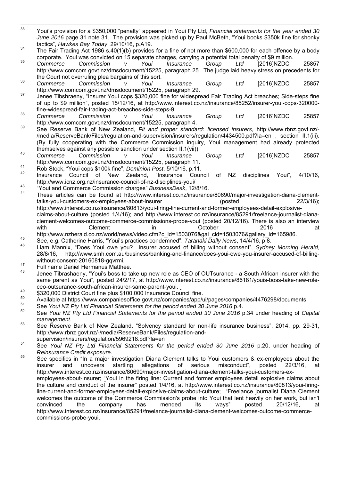- 33 Youi's provision for a \$350,000 "penalty" appeared in Youi Pty Ltd, *Financial statements for the year ended 30 June 2016* page 31 note 31. The provision was picked up by Paul McBeth, "Youi books \$350k fine for shonky
- tactics", *Hawkes Bay Today*, 29/10/16, p.A19. 34 The Fair Trading Act 1986 s.40(1)(b) provides for a fine of not more than \$600,000 for each offence by a body

corporate. Youi was convicted on 15 separate charges, carrying a potential total penalty of \$9 million. 35 *Commerce Commission v Youi Insurance Group Ltd* [2016]NZDC 25857 http://www.comcom.govt.nz/dmsdocument/15225, paragraph 25. The judge laid heavy stress on precedents for

- the Court not overruling plea bargains of this sort. 36 *Commerce Commission v Youi Insurance Group Ltd* [2016]NZDC 25857
- http://www.comcom.govt.nz/dmsdocument/15225, paragraph 29.<br>37 Jenee Tibshraeny, "Insurer Youi cops \$320,000 fine for widespread Fair Trading Act breaches; Side-steps fine of up to \$9 million", posted 15/12/16, at http://www.interest.co.nz/insurance/85252/insurer-youi-cops-320000 fine-widespread-fair-trading-act-breaches-side-steps-9. 38 *Commerce Commission v Youi Insurance Group Ltd* [2016]NZDC 25857
- http://www.comcom.govt.nz/dmsdocument/15225, paragraph 4. 39 See Reserve Bank of New Zealand, *Fit and proper standard: licensed insurers*, http://www.rbnz.govt.nz/-
- /media/ReserveBank/Files/regulation-and-supervision/insurers/regulation/4434500.pdf?la=en , section II.1(iii). (By fully cooperating with the Commerce Commission inquiry, Youi management had already protected
- themselves against any possible sanction under section II.1(vii)).<br><sup>40</sup> Commerce Commission v Youi Insurance Group Ltd [2016]NZDC 25857 http://www.comcom.govt.nz/dmsdocument/15225, paragraph 11.<br>41 Rob Stock, "Youi cops \$100k fine", *Dominion Post*, 5/10/16, p.11.<br>42 Insurance Council of New Zealand, "Insurance Council of NZ disciplines Youi", 4/10/16,
- 
- http://www.icnz.org.nz/insurance-council-of-nz-disciplines-youi/
- 43 "Youi and Commerce Commission charges" *BusinessDesk*, 12/8/16.
- 44 These articles can be found at http://www.interest.co.nz/insurance/80690/major-investigation-diana-clementtalks-youi-customers-ex-employees-about-insurer (posted 22/3/16); http://www.interest.co.nz/insurance/80813/youi-firing-line-current-and-former-employees-detail-explosiveclaims-about-culture (posted 1/4/16); and http://www.interest.co.nz/insurance/85291/freelance-journalist-dianaclement-welcomes-outcome-commerce-commissions-probe-youi (posted 20/12/16). There is also an interview with Clement in October 2016 at
- 
- http://www.nzherald.co.nz/world/news/video.cfm?c\_id=1503076&gal\_cid=1503076&gallery\_id=165986.<br>See, e.g, Catherine Harris, "Youi's practices condemned", *Taranaki Daily News*, 14/4/16, p.8.<br>Liam Mannix, "Does Youi owe you? 28/8/16, http://www.smh.com.au/business/banking-and-finance/does-youi-owe-you-insurer-accused-of-billing-
- without-consent-20160818-gqvrmi.<br>Full name Daniel Hermanus Matthee.
- 48 Jenee Tibrashaeny, "Youi's boss to take up new role as CEO of OUTsurance a South African insurer with the same parent as Youi", posted 24/2/17, at http://www.interest.co.nz/insurance/86181/youis-boss-take-new-role-
- ceo-outsurance-south-african-insurer-same-parent-youi.<br>
\$320,000 District Court fine plus \$100,000 Insurance Council fine.
- 
- 
- <sup>50</sup> Available at https://www.companiesoffice.govt.nz/companies/app/ui/pages/companies/4476298/documents<br><sup>51</sup> See Youi NZ Pty Ltd Financial Statements for the period ended 30 June 2016 p.4.<br><sup>52</sup> See Youi NZ Pty Ltd Financi
- *management.* 53 See Reserve Bank of New Zealand, "Solvency standard for non-life insurance business", 2014, pp. 29-31, http://www.rbnz.govt.nz/-/media/ReserveBank/Files/regulation-and-
- 
- supervision/insurers/regulation/5969218.pdf?la=en<br>54 See *Youi NZ Pty Ltd Financial Statements for the period ended 30 June 2016* p.20, under heading of *Reinsurance Credit exposure.* 55 See specifics in "In a major investigation Diana Clement talks to Youi customers & ex-employees about the
- insurer and uncovers startling allegations of serious misconduct", posted 22/3/16, at http://www.interest.co.nz/insurance/80690/major-investigation-diana-clement-talks-youi-customers-exemployees-about-insurer; "Youi in the firing line: Current and former employees detail explosive claims about

the culture and conduct of the insurer" posted 1/4/16, at http://www.interest.co.nz/insurance/80813/youi-firingline-current-and-former-employees-detail-explosive-claims-about-culture; "Freelance journalist Diana Clement welcomes the outcome of the Commerce Commission's probe into Youi that lent heavily on her work, but isn't convinced the company has mended its ways" posted 20/12/16, at http://www.interest.co.nz/insurance/85291/freelance-journalist-diana-clement-welcomes-outcome-commercecommissions-probe-youi.